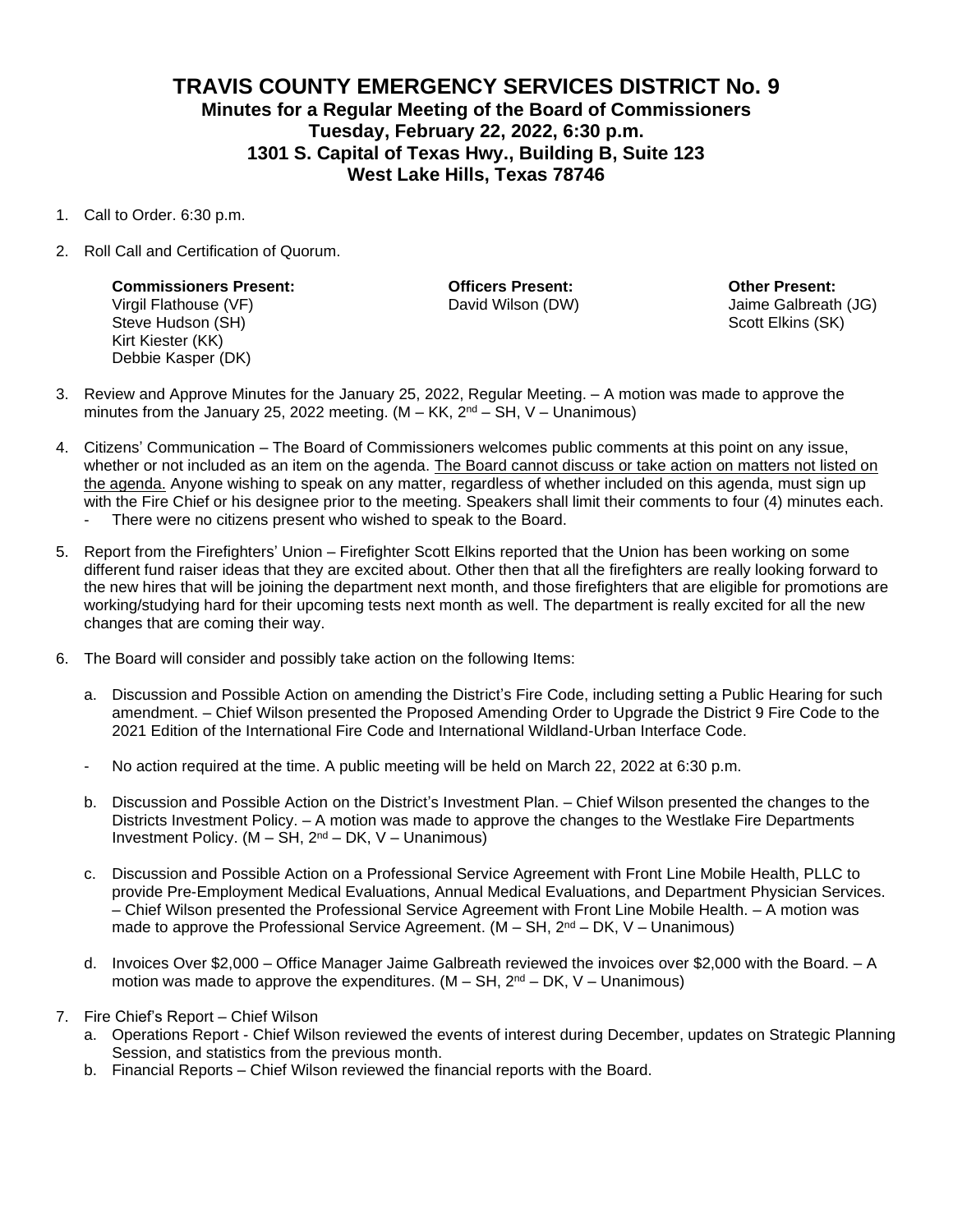## **TRAVIS COUNTY EMERGENCY SERVICES DISTRICT No. 9 Minutes for a Regular Meeting of the Board of Commissioners Tuesday, February 22, 2022, 6:30 p.m. 1301 S. Capital of Texas Hwy., Building B, Suite 123 West Lake Hills, Texas 78746**

- 1. Call to Order. 6:30 p.m.
- 2. Roll Call and Certification of Quorum.

**Commissioners Present: Officers Present: Other Present:** Virgil Flathouse (VF) David Wilson (DW) Jaime Galbreath (JG) Steve Hudson (SH) Steve Hudson (SH) Scott Elkins (SK) Scott Elkins (SK) Kirt Kiester (KK) Debbie Kasper (DK)

- 3. Review and Approve Minutes for the January 25, 2022, Regular Meeting. A motion was made to approve the minutes from the January 25, 2022 meeting.  $(M - KK, 2<sup>nd</sup> - SH, V - Unanimous)$
- 4. Citizens' Communication The Board of Commissioners welcomes public comments at this point on any issue, whether or not included as an item on the agenda. The Board cannot discuss or take action on matters not listed on the agenda. Anyone wishing to speak on any matter, regardless of whether included on this agenda, must sign up with the Fire Chief or his designee prior to the meeting. Speakers shall limit their comments to four (4) minutes each.
	- There were no citizens present who wished to speak to the Board.
- 5. Report from the Firefighters' Union Firefighter Scott Elkins reported that the Union has been working on some different fund raiser ideas that they are excited about. Other then that all the firefighters are really looking forward to the new hires that will be joining the department next month, and those firefighters that are eligible for promotions are working/studying hard for their upcoming tests next month as well. The department is really excited for all the new changes that are coming their way.
- 6. The Board will consider and possibly take action on the following Items:
	- a. Discussion and Possible Action on amending the District's Fire Code, including setting a Public Hearing for such amendment. – Chief Wilson presented the Proposed Amending Order to Upgrade the District 9 Fire Code to the 2021 Edition of the International Fire Code and International Wildland-Urban Interface Code.
	- No action required at the time. A public meeting will be held on March 22, 2022 at 6:30 p.m.
	- b. Discussion and Possible Action on the District's Investment Plan. Chief Wilson presented the changes to the Districts Investment Policy. – A motion was made to approve the changes to the Westlake Fire Departments Investment Policy.  $(M - SH, 2<sup>nd</sup> – DK, V – Unanimous)$
	- c. Discussion and Possible Action on a Professional Service Agreement with Front Line Mobile Health, PLLC to provide Pre-Employment Medical Evaluations, Annual Medical Evaluations, and Department Physician Services. – Chief Wilson presented the Professional Service Agreement with Front Line Mobile Health. – A motion was made to approve the Professional Service Agreement. (M – SH,  $2^{nd}$  – DK, V – Unanimous)
	- d. Invoices Over \$2,000 Office Manager Jaime Galbreath reviewed the invoices over \$2,000 with the Board. A motion was made to approve the expenditures.  $(M - SH, 2<sup>nd</sup> - DK, V - Unanimous)$
- 7. Fire Chief's Report Chief Wilson
	- a. Operations Report Chief Wilson reviewed the events of interest during December, updates on Strategic Planning Session, and statistics from the previous month.
	- b. Financial Reports Chief Wilson reviewed the financial reports with the Board.